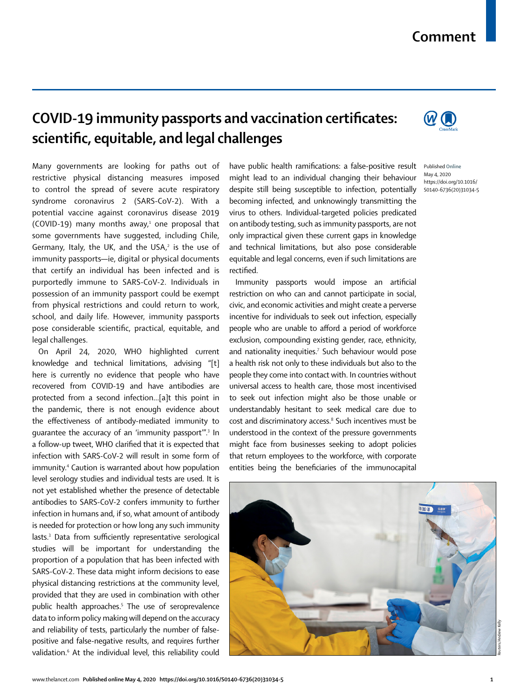## **Comment**

**COVID-19 immunity passports and vaccination certificates: scientific, equitable, and legal challenges**

Many governments are looking for paths out of restrictive physical distancing measures imposed to control the spread of severe acute respiratory syndrome coronavirus 2 (SARS-CoV-2). With a potential vaccine against coronavirus disease 2019 (COVID-19) many months away, $1$  one proposal that some governments have suggested, including Chile, Germany, Italy, the UK, and the USA, $2$  is the use of immunity passports—ie, digital or physical documents that certify an individual has been infected and is purportedly immune to SARS-CoV-2. Individuals in possession of an immunity passport could be exempt from physical restrictions and could return to work, school, and daily life. However, immunity passports pose considerable scientific, practical, equitable, and legal challenges.

On April 24, 2020, WHO highlighted current knowledge and technical limitations, advising "[t] here is currently no evidence that people who have recovered from COVID-19 and have antibodies are protected from a second infection…[a]t this point in the pandemic, there is not enough evidence about the effectiveness of antibody-mediated immunity to guarantee the accuracy of an 'immunity passport'".<sup>3</sup> In a follow-up tweet, WHO clarified that it is expected that infection with SARS-CoV-2 will result in some form of immunity.4 Caution is warranted about how population level serology studies and individual tests are used. It is not yet established whether the presence of detectable antibodies to SARS-CoV-2 confers immunity to further infection in humans and, if so, what amount of antibody is needed for protection or how long any such immunity lasts.3 Data from sufficiently representative serological studies will be important for understanding the proportion of a population that has been infected with SARS-CoV-2. These data might inform decisions to ease physical distancing restrictions at the community level, provided that they are used in combination with other public health approaches.<sup>5</sup> The use of seroprevalence data to inform policy making will depend on the accuracy and reliability of tests, particularly the number of falsepositive and false-negative results, and requires further validation.6 At the individual level, this reliability could have public health ramifications: a false-positive result might lead to an individual changing their behaviour despite still being susceptible to infection, potentially becoming infected, and unknowingly transmitting the virus to others. Individual-targeted policies predicated on antibody testing, such as immunity passports, are not only impractical given these current gaps in knowledge and technical limitations, but also pose considerable equitable and legal concerns, even if such limitations are rectified.

Immunity passports would impose an artificial restriction on who can and cannot participate in social, civic, and economic activities and might create a perverse incentive for individuals to seek out infection, especially people who are unable to afford a period of workforce exclusion, compounding existing gender, race, ethnicity, and nationality inequities.<sup>7</sup> Such behaviour would pose a health risk not only to these individuals but also to the people they come into contact with. In countries without universal access to health care, those most incentivised to seek out infection might also be those unable or understandably hesitant to seek medical care due to cost and discriminatory access.<sup>8</sup> Such incentives must be understood in the context of the pressure governments might face from businesses seeking to adopt policies that return employees to the workforce, with corporate entities being the beneficiaries of the immunocapital







Published **Online** May 4, 2020 https://doi.org/10.1016/ S0140-6736(20)31034-5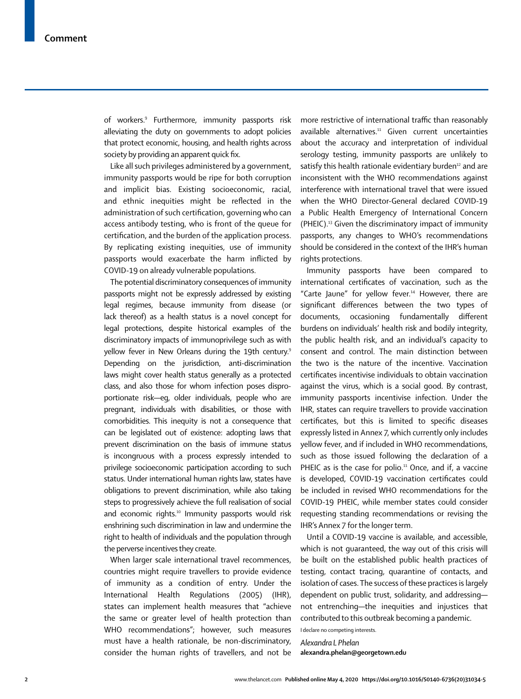of workers.9 Furthermore, immunity passports risk alleviating the duty on governments to adopt policies that protect economic, housing, and health rights across society by providing an apparent quick fix.

Like all such privileges administered by a government, immunity passports would be ripe for both corruption and implicit bias. Existing socioeconomic, racial, and ethnic inequities might be reflected in the administration of such certification, governing who can access antibody testing, who is front of the queue for certification, and the burden of the application process. By replicating existing inequities, use of immunity passports would exacerbate the harm inflicted by COVID-19 on already vulnerable populations.

The potential discriminatory consequences of immunity passports might not be expressly addressed by existing legal regimes, because immunity from disease (or lack thereof) as a health status is a novel concept for legal protections, despite historical examples of the discriminatory impacts of immunoprivilege such as with yellow fever in New Orleans during the 19th century.<sup>9</sup> Depending on the jurisdiction, anti-discrimination laws might cover health status generally as a protected class, and also those for whom infection poses disproportionate risk—eg, older individuals, people who are pregnant, individuals with disabilities, or those with comorbidities. This inequity is not a consequence that can be legislated out of existence: adopting laws that prevent discrimination on the basis of immune status is incongruous with a process expressly intended to privilege socioeconomic participation according to such status. Under international human rights law, states have obligations to prevent discrimination, while also taking steps to progressively achieve the full realisation of social and economic rights.<sup>10</sup> Immunity passports would risk enshrining such discrimination in law and undermine the right to health of individuals and the population through the perverse incentives they create.

When larger scale international travel recommences, countries might require travellers to provide evidence of immunity as a condition of entry. Under the International Health Regulations (2005) (IHR), states can implement health measures that "achieve the same or greater level of health protection than WHO recommendations"; however, such measures must have a health rationale, be non-discriminatory, consider the human rights of travellers, and not be more restrictive of international traffic than reasonably available alternatives.<sup>11</sup> Given current uncertainties about the accuracy and interpretation of individual serology testing, immunity passports are unlikely to satisfy this health rationale evidentiary burden<sup>12</sup> and are inconsistent with the WHO recommendations against interference with international travel that were issued when the WHO Director-General declared COVID-19 a Public Health Emergency of International Concern (PHEIC).13 Given the discriminatory impact of immunity passports, any changes to WHO's recommendations should be considered in the context of the IHR's human rights protections.

Immunity passports have been compared to international certificates of vaccination, such as the "Carte Jaune" for yellow fever.<sup>14</sup> However, there are significant differences between the two types of documents, occasioning fundamentally different burdens on individuals' health risk and bodily integrity, the public health risk, and an individual's capacity to consent and control. The main distinction between the two is the nature of the incentive. Vaccination certificates incentivise individuals to obtain vaccination against the virus, which is a social good. By contrast, immunity passports incentivise infection. Under the IHR, states can require travellers to provide vaccination certificates, but this is limited to specific diseases expressly listed in Annex 7, which currently only includes yellow fever, and if included in WHO recommendations, such as those issued following the declaration of a PHEIC as is the case for polio.<sup>11</sup> Once, and if, a vaccine is developed, COVID-19 vaccination certificates could be included in revised WHO recommendations for the COVID-19 PHEIC, while member states could consider requesting standing recommendations or revising the IHR's Annex 7 for the longer term.

Until a COVID-19 vaccine is available, and accessible, which is not guaranteed, the way out of this crisis will be built on the established public health practices of testing, contact tracing, quarantine of contacts, and isolation of cases. The success of these practices is largely dependent on public trust, solidarity, and addressing not entrenching—the inequities and injustices that contributed to this outbreak becoming a pandemic.

I declare no competing interests. *Alexandra L Phelan* **alexandra.phelan@georgetown.edu**